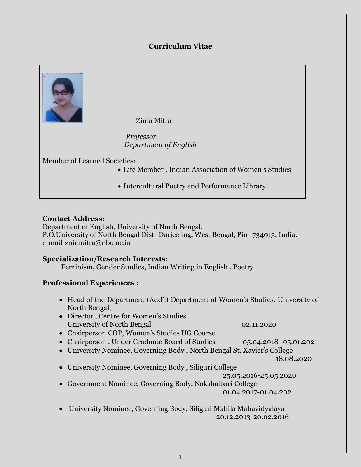## **Curriculum Vitae**



Zinia Mitra

 *Professor Department of English*

Member of Learned Societies:

- Life Member , Indian Association of Women's Studies
- Intercultural Poetry and Performance Library

#### **Contact Address:**

Department of English, University of North Bengal, P.O.University of North Bengal Dist- Darjeeling, West Bengal, Pin -734013, India. e-mail-zniamitra@nbu.ac.in

#### **Specialization/Research Interests**:

Feminism, Gender Studies, Indian Writing in English , Poetry

### **Professional Experiences :**

- Head of the Department (Add'l) Department of Women's Studies. University of North Bengal.
- Director , Centre for Women's Studies University of North Bengal 02.11.2020
- Chairperson COP, Women's Studies UG Course
- Chairperson, Under Graduate Board of Studies 05.04.2018- 05.01.2021
- University Nominee, Governing Body , North Bengal St. Xavier's College -

18.08.2020

University Nominee, Governing Body , Siliguri College

25.05.2016-25.05.2020

 Government Nominee, Governing Body, Nakshalbari College 01.04.2017-01.04.2021

 University Nominee, Governing Body, Siliguri Mahila Mahavidyalaya 20.12.2013-20.02.2016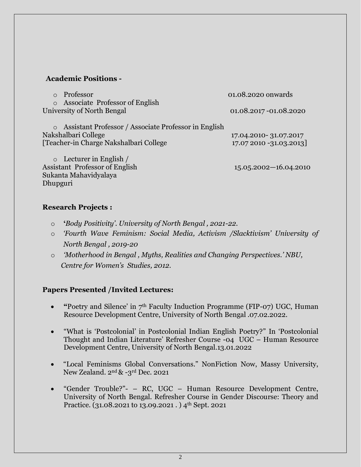#### **Academic Positions -**

| o Professor                                                                                                              | 01.08.2020 onwards                               |
|--------------------------------------------------------------------------------------------------------------------------|--------------------------------------------------|
| o Associate Professor of English<br>University of North Bengal                                                           | 01.08.2017 - 01.08.2020                          |
| o Assistant Professor / Associate Professor in English<br>Nakshalbari College<br>[Teacher-in Charge Nakshalbari College] | 17.04.2010-31.07.2017<br>17.07 2010 -31.03.2013] |
| $\circ$ Lecturer in English /<br><b>Assistant Professor of English</b><br>Sukanta Mahavidyalaya<br>Dhupguri              | $15.05.2002 - 16.04.2010$                        |

### **Research Projects :**

- o **'***Body Positivity'. University of North Bengal , 2021-22.*
- o *'Fourth Wave Feminism: Social Media, Activism /Slacktivism' University of North Bengal , 2019-20*
- o *'Motherhood in Bengal , Myths, Realities and Changing Perspectives.' NBU, Centre for Women's Studies, 2012.*

### **Papers Presented /Invited Lectures:**

- **"**Poetry and Silence' in 7th Faculty Induction Programme (FIP-07) UGC, Human Resource Development Centre, University of North Bengal .07.02.2022.
- "What is 'Postcolonial' in Postcolonial Indian English Poetry?" In 'Postcolonial Thought and Indian Literature' Refresher Course -04 UGC – Human Resource Development Centre, University of North Bengal.13.01.2022
- "Local Feminisms Global Conversations." NonFiction Now, Massy University, New Zealand. 2nd & -3rd Dec. 2021
- "Gender Trouble?"- RC, UGC Human Resource Development Centre, University of North Bengal. Refresher Course in Gender Discourse: Theory and Practice. (31.08.2021 to 13.09.2021 . ) 4<sup>th</sup> Sept. 2021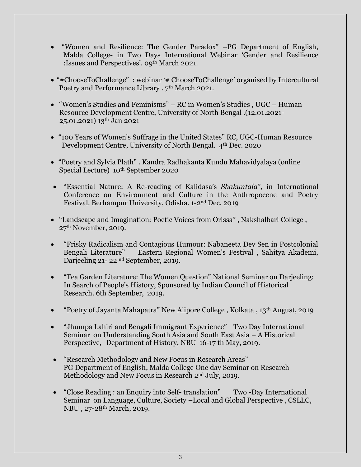- "Women and Resilience: The Gender Paradox" –PG Department of English, Malda College- in Two Days International Webinar 'Gender and Resilience :Issues and Perspectives'. 09th March 2021.
- "#ChooseToChallenge" : webinar '# ChooseToChallenge' organised by Intercultural Poetry and Performance Library . 7<sup>th</sup> March 2021.
- "Women's Studies and Feminisms" RC in Women's Studies , UGC Human Resource Development Centre, University of North Bengal .(12.01.2021- 25.01.2021) 13th Jan 2021
- "100 Years of Women's Suffrage in the United States" RC, UGC-Human Resource Development Centre, University of North Bengal. 4th Dec. 2020
- "Poetry and Sylvia Plath" . Kandra Radhakanta Kundu Mahavidyalaya (online Special Lecture) 10<sup>th</sup> September 2020
- "Essential Nature: A Re-reading of Kalidasa's *Shakuntala*", in International Conference on Environment and Culture in the Anthropocene and Poetry Festival. Berhampur University, Odisha. 1-2nd Dec. 2019
- "Landscape and Imagination: Poetic Voices from Orissa" , Nakshalbari College , 27th November, 2019.
- "Frisky Radicalism and Contagious Humour: Nabaneeta Dev Sen in Postcolonial Bengali Literature" Eastern Regional Women's Festival , Sahitya Akademi, Darjeeling 21- 22 nd September, 2019.
- "Tea Garden Literature: The Women Question" National Seminar on Darjeeling: In Search of People's History, Sponsored by Indian Council of Historical Research. 6th September, 2019.
- "Poetry of Jayanta Mahapatra" New Alipore College , Kolkata , 13th August, 2019
- "Jhumpa Lahiri and Bengali Immigrant Experience" Two Day International Seminar on Understanding South Asia and South East Asia – A Historical Perspective, Department of History, NBU 16-17 th May, 2019.
- "Research Methodology and New Focus in Research Areas" PG Department of English, Malda College One day Seminar on Research Methodology and New Focus in Research 2nd July, 2019.
- "Close Reading : an Enquiry into Self- translation" Two -Day International Seminar on Language, Culture, Society –Local and Global Perspective , CSLLC, NBU , 27-28th March, 2019.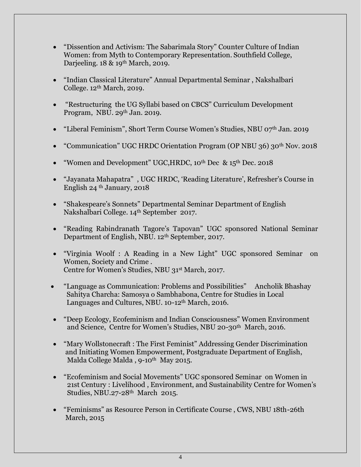- "Dissention and Activism: The Sabarimala Story" Counter Culture of Indian Women: from Myth to Contemporary Representation. Southfield College, Darjeeling. 18 & 19<sup>th</sup> March, 2019.
- "Indian Classical Literature" Annual Departmental Seminar , Nakshalbari College. 12<sup>th</sup> March, 2019.
- "Restructuring the UG Syllabi based on CBCS" Curriculum Development Program, NBU. 29<sup>th</sup> Jan. 2019.
- "Liberal Feminism", Short Term Course Women's Studies, NBU 07th Jan. 2019
- "Communication" UGC HRDC Orientation Program (OP NBU 36) 30<sup>th</sup> Nov. 2018
- "Women and Development" UGC, HRDC, 10<sup>th</sup> Dec & 15<sup>th</sup> Dec. 2018
- "Jayanata Mahapatra" , UGC HRDC, 'Reading Literature', Refresher's Course in English 24 th January, 2018
- "Shakespeare's Sonnets" Departmental Seminar Department of English Nakshalbari College. 14th September 2017.
- "Reading Rabindranath Tagore's Tapovan" UGC sponsored National Seminar Department of English, NBU. 12<sup>th</sup> September, 2017.
- "Virginia Woolf : A Reading in a New Light" UGC sponsored Seminar on Women, Society and Crime . Centre for Women's Studies, NBU 31st March, 2017.
- "Language as Communication: Problems and Possibilities" Ancholik Bhashay Sahitya Charcha: Samosya o Sambhabona, Centre for Studies in Local Languages and Cultures, NBU. 10-12<sup>th</sup> March, 2016.
- "Deep Ecology, Ecofeminism and Indian Consciousness" Women Environment and Science, Centre for Women's Studies, NBU 20-30<sup>th</sup> March, 2016.
- "Mary Wollstonecraft : The First Feminist" Addressing Gender Discrimination and Initiating Women Empowerment, Postgraduate Department of English, Malda College Malda, 9-10<sup>th</sup> May 2015.
- "Ecofeminism and Social Movements" UGC sponsored Seminar on Women in 21st Century : Livelihood , Environment, and Sustainability Centre for Women's Studies, NBU.27-28<sup>th</sup> March 2015.
- "Feminisms" as Resource Person in Certificate Course , CWS, NBU 18th-26th March, 2015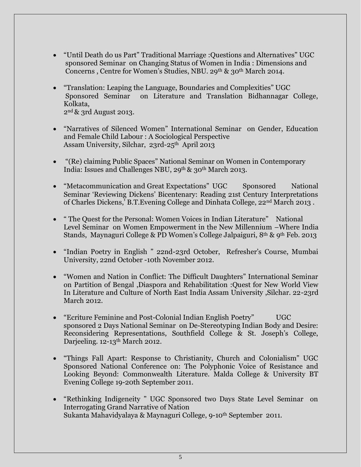- "Until Death do us Part" Traditional Marriage :Questions and Alternatives" UGC sponsored Seminar on Changing Status of Women in India : Dimensions and Concerns, Centre for Women's Studies, NBU. 29th & 30th March 2014.
- "Translation: Leaping the Language, Boundaries and Complexities" UGC Sponsored Seminar on Literature and Translation Bidhannagar College, Kolkata, 2nd & 3rd August 2013.

- "Narratives of Silenced Women" International Seminar on Gender, Education and Female Child Labour : A Sociological Perspective Assam University, Silchar, 23rd-25<sup>th</sup> April 2013
- "(Re) claiming Public Spaces" National Seminar on Women in Contemporary India: Issues and Challenges NBU, 29<sup>th</sup> & 30<sup>th</sup> March 2013.
- "Metacommunication and Great Expectations" UGC Sponsored National Seminar 'Reviewing Dickens' Bicentenary: Reading 21st Century Interpretations of Charles Dickens,' B.T.Evening College and Dinhata College, 22nd March 2013 .
- " The Quest for the Personal: Women Voices in Indian Literature" National Level Seminar on Women Empowerment in the New Millennium –Where India Stands, Maynaguri College & PD Women's College Jalpaiguri, 8th & 9th Feb. 2013
- "Indian Poetry in English " 22nd-23rd October, Refresher's Course, Mumbai University, 22nd October -10th November 2012.
- "Women and Nation in Conflict: The Difficult Daughters" International Seminar on Partition of Bengal ,Diaspora and Rehabilitation :Quest for New World View In Literature and Culture of North East India Assam University ,Silchar. 22-23rd March 2012.
- "Ecriture Feminine and Post-Colonial Indian English Poetry" UGC sponsored 2 Days National Seminar on De-Stereotyping Indian Body and Desire: Reconsidering Representations, Southfield College & St. Joseph's College, Darjeeling. 12-13<sup>th</sup> March 2012.
- "Things Fall Apart: Response to Christianity, Church and Colonialism" UGC Sponsored National Conference on: The Polyphonic Voice of Resistance and Looking Beyond: Commonwealth Literature. Malda College & University BT Evening College 19-20th September 2011.
- "Rethinking Indigeneity " UGC Sponsored two Days State Level Seminar on Interrogating Grand Narrative of Nation Sukanta Mahavidyalaya & Maynaguri College, 9-10<sup>th</sup> September 2011.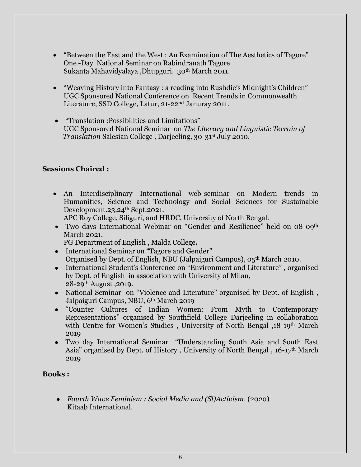- "Between the East and the West : An Examination of The Aesthetics of Tagore" One -Day National Seminar on Rabindranath Tagore Sukanta Mahavidyalaya ,Dhupguri. 30th March 2011.
- "Weaving History into Fantasy : a reading into Rushdie's Midnight's Children" UGC Sponsored National Conference on Recent Trends in Commonwealth Literature, SSD College, Latur, 21-22nd Januray 2011.
- "Translation :Possibilities and Limitations" UGC Sponsored National Seminar on *The Literary and Linguistic Terrain of Translation* Salesian College , Darjeeling, 30-31st July 2010.

# **Sessions Chaired :**

 An Interdisciplinary International web-seminar on Modern trends in Humanities, Science and Technology and Social Sciences for Sustainable Development.23.24<sup>th</sup> Sept.2021.

APC Roy College, Siliguri, and HRDC, University of North Bengal.

- Two days International Webinar on "Gender and Resilience" held on 08-09<sup>th</sup> March 2021.
	- PG Department of English , Malda College**.**
- International Seminar on "Tagore and Gender" Organised by Dept. of English, NBU (Jalpaiguri Campus), 05<sup>th</sup> March 2010.
- International Student's Conference on "Environment and Literature" , organised by Dept. of English in association with University of Milan, 28-29th August ,2019.
- National Seminar on "Violence and Literature" organised by Dept. of English, Jalpaiguri Campus, NBU, 6th March 2019
- "Counter Cultures of Indian Women: From Myth to Contemporary Representations" organised by Southfield College Darjeeling in collaboration with Centre for Women's Studies, University of North Bengal ,18-19<sup>th</sup> March 2019
- Two day International Seminar "Understanding South Asia and South East Asia" organised by Dept. of History, University of North Bengal,  $16$ -17<sup>th</sup> March 2019

## **Books :**

 *Fourth Wave Feminism : Social Media and (Sl)Activism*. (2020) Kitaab International.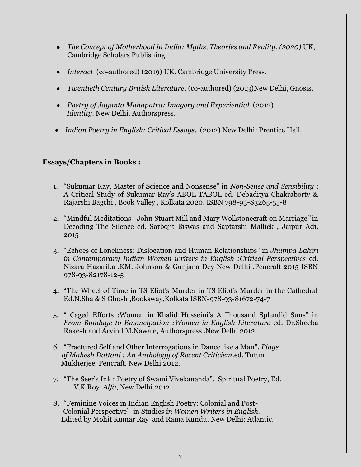- *The Concept of Motherhood in India: Myths, Theories and Reality. (2020)* UK, Cambridge Scholars Publishing.
- *Interact* (co-authored) (2019) UK. Cambridge University Press.
- *Twentieth Century British Literature*. (co-authored) (2013)New Delhi, Gnosis.
- *Poetry of Jayanta Mahapatra: Imagery and Experiential* (2012)  *Identity*. New Delhi. Authorspress.
- *Indian Poetry in English: Critical Essays*. (2012) New Delhi: Prentice Hall.

# **Essays/Chapters in Books :**

- 1. "Sukumar Ray, Master of Science and Nonsense" in *Non-Sense and Sensibility* : A Critical Study of Sukumar Ray's ABOL TABOL ed. Debaditya Chakraborty & Rajarshi Bagchi , Book Valley , Kolkata 2020. ISBN 798-93-83265-55-8
- 2. "Mindful Meditations : John Stuart Mill and Mary Wollstonecraft on Marriage*"* in Decoding The Silence ed. Sarbojit Biswas and Saptarshi Mallick , Jaipur Adi, 2015
- 3. "Echoes of Loneliness: Dislocation and Human Relationships" in *Jhumpa Lahiri in Contemporary Indian Women writers in English :Critical Perspectives* ed. Nizara Hazarika ,KM. Johnson & Gunjana Dey New Delhi ,Pencraft 2015 ISBN 978-93-82178-12-5
- 4. "The Wheel of Time in TS Eliot's Murder in TS Eliot's Murder in the Cathedral Ed.N.Sha & S Ghosh ,Booksway,Kolkata ISBN-978-93-81672-74-7
- 5. " Caged Efforts :Women in Khalid Hosseini's A Thousand Splendid Suns" in *From Bondage to Emancipation :Women in English Literature* ed. Dr.Sheeba Rakesh and Arvind M.Nawale, Authorspress .New Delhi 2012.
- *6.* "Fractured Self and Other Interrogations in Dance like a Man". *Plays of Mahesh Dattani : An Anthology of Recent Criticism*.ed. Tutun Mukherjee. Pencraft. New Delhi 2012.
- 7. "The Seer's Ink : Poetry of Swami Vivekananda". Spiritual Poetry, Ed. V.K.Roy .*Alfa*, New Delhi.2012.
- 8. "Feminine Voices in Indian English Poetry: Colonial and Post- Colonial Perspective" in Studies *in Women Writers in English.*  Edited by Mohit Kumar Ray and Rama Kundu. New Delhi: Atlantic.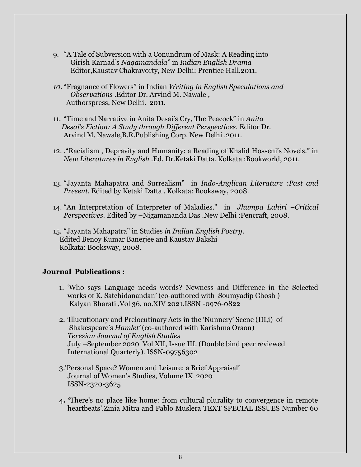- 9. "A Tale of Subversion with a Conundrum of Mask: A Reading into Girish Karnad's *Nagamandala*" in *Indian English Drama* Editor,Kaustav Chakravorty, New Delhi: Prentice Hall.2011.
- *10.* "Fragnance of Flowers" in Indian *Writing in English Speculations and Observations* .Editor Dr. Arvind M. Nawale , Authorspress, New Delhi. 2011.
- 11. "Time and Narrative in Anita Desai's Cry, The Peacock" in *Anita Desai's Fiction: A Study through Different Perspectives*. Editor Dr. Arvind M. Nawale,B.R.Publishing Corp. New Delhi .2011.
- 12. ."Racialism , Depravity and Humanity: a Reading of Khalid Hosseni's Novels." in *New Literatures in English* .Ed. Dr.Ketaki Datta. Kolkata :Bookworld, 2011.
- 13. "Jayanta Mahapatra and Surrealism" in *Indo-Anglican Literature :Past and Present*. Edited by Ketaki Datta . Kolkata: Booksway, 2008.
- 14. "An Interpretation of Interpreter of Maladies." in *Jhumpa Lahiri –Critical Perspectives*. Edited by –Nigamananda Das .New Delhi :Pencraft, 2008.
- 15. "Jayanta Mahapatra" in Studies *in Indian English Poetry*. Edited Benoy Kumar Banerjee and Kaustav Bakshi Kolkata: Booksway, 2008.

### **Journal Publications :**

- 1. 'Who says Language needs words? Newness and Difference in the Selected works of K. Satchidanandan' (co-authored with Soumyadip Ghosh ) Kalyan Bharati ,Vol 36, no.XIV 2021.ISSN -0976-0822
- 2. 'Illucutionary and Prelocutinary Acts in the 'Nunnery' Scene (III,i) of Shakespeare's *Hamlet'* (co-authored with Karishma Oraon) *Teresian Journal of English Studies*  July –September 2020 Vol XII, Issue III. (Double bind peer reviewed International Quarterly). ISSN-09756302
- 3.'Personal Space? Women and Leisure: a Brief Appraisal' Journal of Women's Studies, Volume IX 2020 ISSN-2320-3625
- 4**. '**There's no place like home: from cultural plurality to convergence in remote heartbeats'.Zinia Mitra and Pablo Muslera TEXT SPECIAL ISSUES Number 60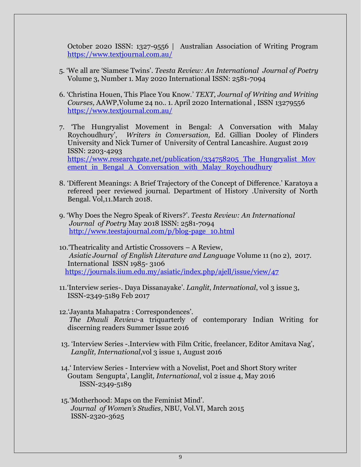October 2020 ISSN: 1327-9556 | Australian Association of Writing Program https://www.textjournal.com.au/

- 5. 'We all are 'Siamese Twins'. *Teesta Review: An International Journal of Poetry* Volume 3, Number 1. May 2020 International ISSN: 2581-7094
- 6. 'Christina Houen, This Place You Know.' *TEXT, Journal of Writing and Writing Courses,* AAWP,Volume 24 no.. 1. April 2020 International , ISSN 13279556 <https://www.textjournal.com.au/>
- 7. 'The Hungryalist Movement in Bengal: A Conversation with Malay Roychoudhury', *Writers in Conversation,* Ed. Gillian Dooley of Flinders University and Nick Turner of University of Central Lancashire. August 2019 ISSN: 2203-4293 https://www.researchgate.net/publication/334758205 The Hungryalist Mov ement in Bengal A Conversation with Malay Roychoudhury
- 8. 'Different Meanings: A Brief Trajectory of the Concept of Difference.' Karatoya a refereed peer reviewed journal. Department of History .University of North Bengal. Vol,11.March 2018.
- 9. 'Why Does the Negro Speak of Rivers?'. *Teesta Review: An International Journal of Poetry* May 2018 ISSN: 2581-7094 [http://www.teestajournal.com/p/blog-page\\_10.html](http://www.teestajournal.com/p/blog-page_10.html)
- 10.'Theatricality and Artistic Crossovers A Review, *Asiatic Journal of English Literature and Language* Volume 11 (no 2), 2017. International ISSN 1985- 3106 <https://journals.iium.edu.my/asiatic/index.php/ajell/issue/view/47>
- 11.'Interview series-. Daya Dissanayake'. *Langlit*, *International*, vol 3 issue 3, ISSN-2349-5189 Feb 2017
- 12.'Jayanta Mahapatra : Correspondences'. *The Dhauli Review*-a triquarterly of contemporary Indian Writing for discerning readers Summer Issue 2016
- 13. 'Interview Series -.Interview with Film Critic, freelancer, Editor Amitava Nag', *Langlit, International*,vol 3 issue 1, August 2016
- 14.' Interview Series Interview with a Novelist, Poet and Short Story writer Goutam Sengupta', Langlit*, International*, vol 2 issue 4, May 2016 ISSN-2349-5189
- 15.'Motherhood: Maps on the Feminist Mind'. *Journal of Women's Studies*, NBU, Vol.VI, March 2015 ISSN-2320-3625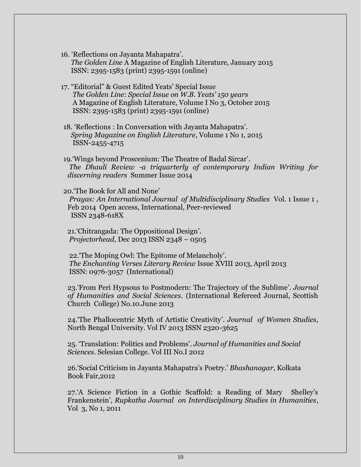- 16. 'Reflections on Jayanta Mahapatra'.  *The Golden Line* A Magazine of English Literature, January 2015 ISSN: 2395-1583 (print) 2395-1591 (online)
- 17. "Editorial" & Guest Edited Yeats' Special Issue  *The Golden Line*: *Special Issue on W.B. Yeats' 150 years*  A Magazine of English Literature, Volume I No 3, October 2015 ISSN: 2395-1583 (print) 2395-1591 (online)
- 18. 'Reflections : In Conversation with Jayanta Mahapatra'.  *Spring Magazine on English Literature*, Volume 1 No 1, 2015 ISSN-2455-4715
- 19.'Wings beyond Proscenium: The Theatre of Badal Sircar'. *The Dhauli Review -a triquarterly of contemporary Indian Writing for discerning readers* Summer Issue 2014

20.'The Book for All and None' *Prayas: An International Journal of Multidisciplinary Studies* Vol. 1 Issue 1 , Feb 2014 Open access, International, Peer-reviewed ISSN 2348-618X

21.'Chitrangada: The Oppositional Design'. *Projectorhead*, Dec 2013 ISSN 2348 – 0505

22.'The Moping Owl: The Epitome of Melancholy'. *The Enchanting Verses Literary Review* Issue XVIII 2013, April 2013 ISSN: 0976-3057 (International)

23.'From Peri Hypsous to Postmodern: The Trajectory of the Sublime'. *Journal of Humanities and Social Sciences.* (International Refereed Journal, Scottish Church College) No.10.June 2013

24.'The Phallocentric Myth of Artistic Creativity'. *Journal of Women Studies,* North Bengal University. Vol IV 2013 ISSN 2320-3625

25. 'Translation: Politics and Problems'. *Journal of Humanities and Social Sciences*. Selesian College. Vol III No.I 2012

26.'Social Criticism in Jayanta Mahapatra's Poetry.' *Bhashanagar*, Kolkata Book Fair,2012

27.'A Science Fiction in a Gothic Scaffold: a Reading of Mary Shelley's Frankenstein', *Rupkatha Journal on Interdisciplinary Studies in Humanities*, Vol 3, No 1, 2011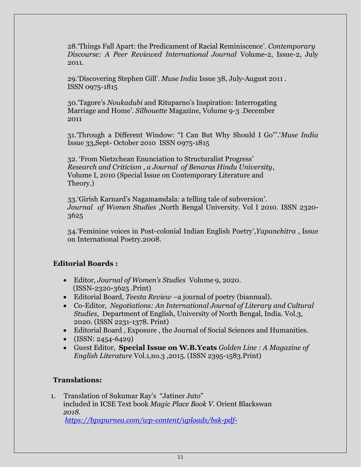28.'Things Fall Apart: the Predicament of Racial Reminiscence'. *Contemporary Discourse: A Peer Reviewed International Journal* Volume-2, Issue-2, July 2011.

29.'Discovering Stephen Gill'. *Muse India* Issue 38, July-August 2011 . ISSN 0975-1815

30.'Tagore's *Noukadubi* and Rituparno's Inspiration: Interrogating Marriage and Home'. *Silhouette* Magazine, Volume 9-3 .December 2011

31.'Through a Different Window: "I Can But Why Should I Go"'.'*Muse India* Issue 33,Sept- October 2010 ISSN 0975-1815

32. 'From Nietzchean Enunciation to Structuralist Progress' *Research and Criticism , a Journal of Benaras Hindu University*, Volume I, 2010 (Special Issue on Contemporary Literature and Theory.)

33.'Girish Karnard's Nagamamdala: a telling tale of subversion'. *Journal of Women Studies* ,North Bengal University. Vol I 2010. ISSN 2320- 3625

34.'Feminine voices in Post-colonial Indian English Poetry',*Yapanchitra* , Issue on International Poetry.2008.

## **Editorial Boards :**

- Editor, *Journal of Women's Studies* Volume 9, 2020. (ISSN-2320-3625 .Print)
- Editorial Board, *Teesta Review* –a journal of poetry (biannual).
- Co-Editor, *Negotiations: An International Journal of Literary and Cultural Studies,* Department of English, University of North Bengal, India. Vol.3, 2020. (ISSN 2231-1378. Print)
- Editorial Board , Exposure , the Journal of Social Sciences and Humanities.
- $\bullet$  (ISSN: 2454-6429)
- Guest Editor, **Special Issue on W.B.Yeats** *Golden Line : A Magazine of English Literature* Vol.1,no.3 ,2015. (ISSN 2395-1583.Print)

# **Translations:**

1. Translation of Sukumar Ray's "Jatiner Juto" included in ICSE Text book *Magic Place Book V.* Orient Blackswan  *2018. <https://bpspurnea.com/wp-content/uploads/bsk-pdf->*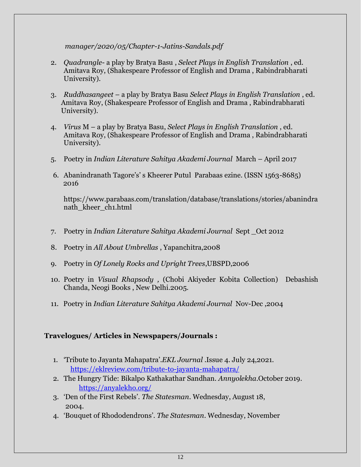*manager/2020/05/Chapter-1-Jatins-Sandals.pdf*

- 2. *Quadrangle* a play by Bratya Basu , *Select Plays in English Translation* , ed. Amitava Roy, (Shakespeare Professor of English and Drama , Rabindrabharati University).
- 3. *Ruddhasangeet* a play by Bratya Basu *Select Plays in English Translation* , ed. Amitava Roy, (Shakespeare Professor of English and Drama , Rabindrabharati University).
- 4. *Virus* M a play by Bratya Basu, *Select Plays in English Translation* , ed. Amitava Roy, (Shakespeare Professor of English and Drama , Rabindrabharati University).
- 5. Poetry in *Indian Literature Sahitya Akademi Journal* March April 2017
- 6. Abanindranath Tagore's' s Kheerer Putul Parabaas ezine. (ISSN 1563-8685) 2016

https://www.parabaas.com/translation/database/translations/stories/abanindra nath\_kheer\_ch1.html

- 7. Poetry in *Indian Literature Sahitya Akademi Journal* Sept \_Oct 2012
- 8. Poetry in *All About Umbrellas* , Yapanchitra,2008
- 9. Poetry in *Of Lonely Rocks and Upright Trees*,UBSPD,2006
- 10. Poetry in *Visual Rhapsody ,* (Chobi Akiyeder Kobita Collection) Debashish Chanda, Neogi Books , New Delhi.2005.
- 11. Poetry in *Indian Literature Sahitya Akademi Journal* Nov-Dec ,2004

## **Travelogues/ Articles in Newspapers/Journals :**

- 1. 'Tribute to Jayanta Mahapatra'.*EKL Journal* .Issue 4. July 24,2021. <https://eklreview.com/tribute-to-jayanta-mahapatra/>
- 2. The Hungry Tide: Bikalpo Kathakathar Sandhan. *Annyolekha*.October 2019. <https://anyalekho.org/>
- 3. 'Den of the First Rebels'. *The Statesman*. Wednesday, August 18, 2004.
- 4. 'Bouquet of Rhododendrons'. *The Statesman*. Wednesday, November